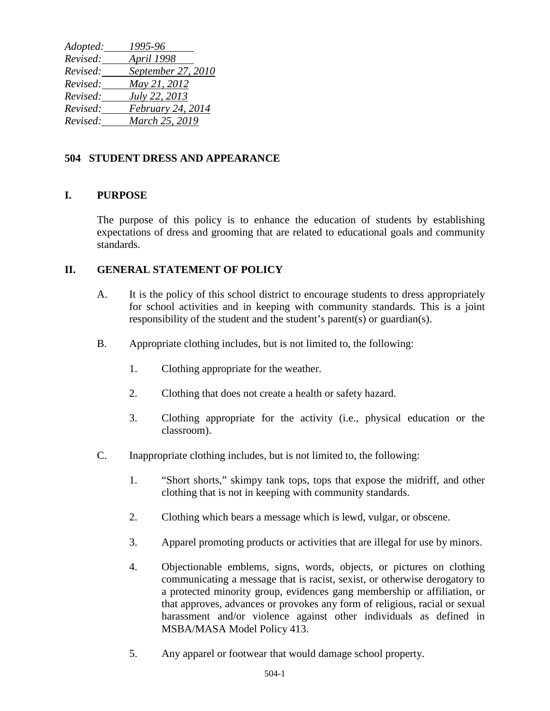*Adopted: 1995-96 Revised: April 1998 Revised: September 27, 2010 Revised: May 21, 2012 Revised: July 22, 2013 Revised: February 24, 2014 Revised: March 25, 2019*

## **504 STUDENT DRESS AND APPEARANCE**

## **I. PURPOSE**

The purpose of this policy is to enhance the education of students by establishing expectations of dress and grooming that are related to educational goals and community standards.

## **II. GENERAL STATEMENT OF POLICY**

- A. It is the policy of this school district to encourage students to dress appropriately for school activities and in keeping with community standards. This is a joint responsibility of the student and the student's parent(s) or guardian(s).
- B. Appropriate clothing includes, but is not limited to, the following:
	- 1. Clothing appropriate for the weather.
	- 2. Clothing that does not create a health or safety hazard.
	- 3. Clothing appropriate for the activity (i.e., physical education or the classroom).
- C. Inappropriate clothing includes, but is not limited to, the following:
	- 1. "Short shorts," skimpy tank tops, tops that expose the midriff, and other clothing that is not in keeping with community standards.
	- 2. Clothing which bears a message which is lewd, vulgar, or obscene.
	- 3. Apparel promoting products or activities that are illegal for use by minors.
	- 4. Objectionable emblems, signs, words, objects, or pictures on clothing communicating a message that is racist, sexist, or otherwise derogatory to a protected minority group, evidences gang membership or affiliation, or that approves, advances or provokes any form of religious, racial or sexual harassment and/or violence against other individuals as defined in MSBA/MASA Model Policy 413.
	- 5. Any apparel or footwear that would damage school property.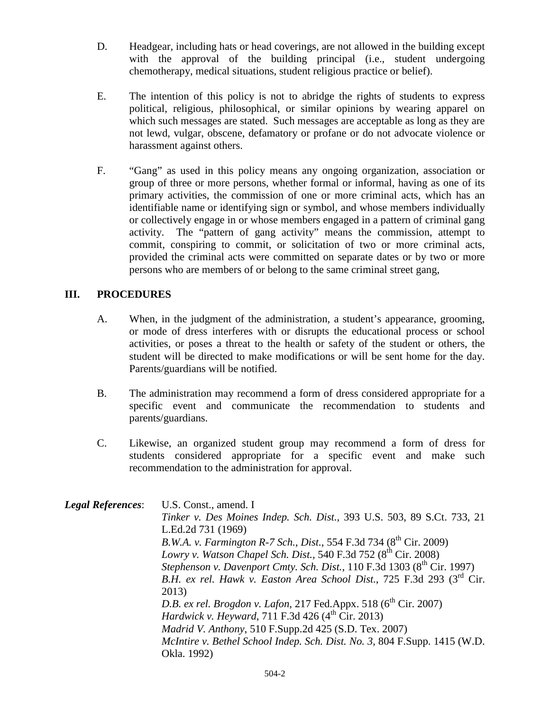- D. Headgear, including hats or head coverings, are not allowed in the building except with the approval of the building principal (i.e., student undergoing chemotherapy, medical situations, student religious practice or belief).
- E. The intention of this policy is not to abridge the rights of students to express political, religious, philosophical, or similar opinions by wearing apparel on which such messages are stated. Such messages are acceptable as long as they are not lewd, vulgar, obscene, defamatory or profane or do not advocate violence or harassment against others.
- F. "Gang" as used in this policy means any ongoing organization, association or group of three or more persons, whether formal or informal, having as one of its primary activities, the commission of one or more criminal acts, which has an identifiable name or identifying sign or symbol, and whose members individually or collectively engage in or whose members engaged in a pattern of criminal gang activity. The "pattern of gang activity" means the commission, attempt to commit, conspiring to commit, or solicitation of two or more criminal acts, provided the criminal acts were committed on separate dates or by two or more persons who are members of or belong to the same criminal street gang,

## **III. PROCEDURES**

- A. When, in the judgment of the administration, a student's appearance, grooming, or mode of dress interferes with or disrupts the educational process or school activities, or poses a threat to the health or safety of the student or others, the student will be directed to make modifications or will be sent home for the day. Parents/guardians will be notified.
- B. The administration may recommend a form of dress considered appropriate for a specific event and communicate the recommendation to students and parents/guardians.
- C. Likewise, an organized student group may recommend a form of dress for students considered appropriate for a specific event and make such recommendation to the administration for approval.

| <b>Legal References:</b> | U.S. Const., amend. I                                                               |
|--------------------------|-------------------------------------------------------------------------------------|
|                          | Tinker v. Des Moines Indep. Sch. Dist., 393 U.S. 503, 89 S.Ct. 733, 21              |
|                          | L.Ed.2d 731 (1969)                                                                  |
|                          | B.W.A. v. Farmington R-7 Sch., Dist., 554 F.3d 734 (8 <sup>th</sup> Cir. 2009)      |
|                          | Lowry v. Watson Chapel Sch. Dist., 540 F.3d 752 (8 <sup>th</sup> Cir. 2008)         |
|                          | Stephenson v. Davenport Cmty. Sch. Dist., 110 F.3d 1303 (8 <sup>th</sup> Cir. 1997) |
|                          | B.H. ex rel. Hawk v. Easton Area School Dist., 725 F.3d 293 (3 <sup>rd</sup> Cir.   |
|                          | 2013)                                                                               |
|                          | D.B. ex rel. Brogdon v. Lafon, 217 Fed.Appx. 518 (6 <sup>th</sup> Cir. 2007)        |
|                          | Hardwick v. Heyward, 711 F.3d 426 (4 <sup>th</sup> Cir. 2013)                       |
|                          | Madrid V. Anthony, 510 F.Supp.2d 425 (S.D. Tex. 2007)                               |
|                          | McIntire v. Bethel School Indep. Sch. Dist. No. 3, 804 F.Supp. 1415 (W.D.           |
|                          | Okla. 1992)                                                                         |